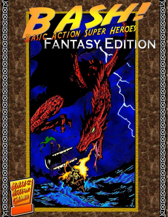# Bash of the Communication of the Communication of the Communication of the Communication of the Communication

0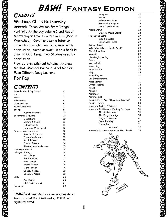## CREDITS\*

Writing: Chris Rutkowsky

Artwork: Jason Walton from Image Portfolio Anthology volume 1 and Rudolf Montemayor Image Portfolio 1.13 (Devil's Workshop). Cover and some interior artwork copyright Paul Daly, used with permission. Some artwork in this book is also ©2005 Team Frog Studios,used by permission.

Playtesters: Michael Mikulus, Andrew Mailhot, Michael Barnard, Joel Mahler, Evan Zilbert, Doug Laurora

For Pap

# **CONTENTS**

| Introduction & Key Terms |                                |  | 2  |
|--------------------------|--------------------------------|--|----|
| Stats                    |                                |  | 3  |
| Races                    |                                |  | 3  |
| Advantages               |                                |  | 4  |
| Disadvantages            |                                |  | 6  |
| Powers, Mundane          |                                |  | 7  |
| Energy                   |                                |  | 9  |
|                          | Pushing Yourself               |  | 10 |
| Supernatural Powers      |                                |  | 10 |
|                          | Limitations                    |  | 10 |
|                          | Casting & Spells               |  | 11 |
|                          | Enhancements                   |  | 11 |
|                          | How does Magic Work            |  | 12 |
| Supernatural Powers List |                                |  | 12 |
|                          | Movement Powers                |  | 12 |
|                          | Perception Powers              |  | 13 |
|                          | <b>Mental Powers</b>           |  | 13 |
|                          | Combat Powers                  |  | 14 |
|                          | <b>Bio-Manipulation Powers</b> |  | 15 |
| Low Magic Worlds         |                                |  | 16 |
| Colleges of Magic        |                                |  | 16 |
|                          | Air College                    |  | 16 |
|                          | Earth College                  |  | 17 |
|                          | Fire College                   |  | 18 |
|                          | Water College                  |  | 18 |
|                          | Light College                  |  | 18 |
|                          | Shadow College                 |  | 19 |
|                          | Universal Magic                |  | 19 |
| Skills                   |                                |  | 20 |
|                          | Assistants                     |  | 20 |
|                          | Skill Descriptions             |  | 21 |
| Equipment                |                                |  | 22 |
|                          |                                |  |    |

j **BASH!** and Basic Action Games are registered trademarks of Chris Rutkowsky, ©2004, All rights reserved.

| Weapons                                | 22 |
|----------------------------------------|----|
| Armor                                  | 22 |
| Adventuring Gear                       | 22 |
| Equestrian Supplies                    | 23 |
| Inn & Tavern Prices                    | 23 |
| Magic Items                            | 24 |
| <b>Creating Magic Items</b>            | 24 |
| Playing the Game                       | 27 |
| Dice & Doubles                         | 27 |
| <b>Experience Points</b>               | 27 |
| Combat Rules                           | 27 |
| What Can I do in a Single Panel?       |    |
| The Golden Rule                        |    |
| Wounds                                 | 28 |
| Non-Magic Healing                      |    |
| Cover                                  | 29 |
| Knock-Back                             | 29 |
| Wrestling                              | 29 |
| Vulnerability                          | 29 |
| Ships                                  | 29 |
| Siege Engines                          | 30 |
| Collateral Damage                      | 30 |
| Mass Combat                            | 30 |
| Other Hazards                          | 33 |
| Traps                                  | 33 |
| Minions                                | 34 |
| Monsters                               | 35 |
| Monster List                           | 36 |
| Sample Story-Arc: "The Jewel Caravan"  | 48 |
| Sample Heroes                          |    |
| Appendix 1: Gods & Priests             | 56 |
| Appendix 2: Alternate Fantasy Settings | 56 |
| The Ancient World                      | 56 |
| The Forgotten Age                      | 59 |
| Ninjas & Samurai                       | 61 |
| Swashbuckling                          | 67 |
| Steam Punk                             | 71 |
| Wild West                              | 75 |
| Appendix 3: Converting Super Hero BASH | 76 |
|                                        |    |

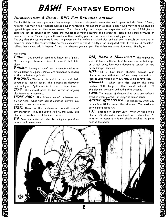### Introduction: A Heroic RPG For Basically Anyone!

The BASH! System was a product of my attempt to invent a role-playing game that would appeal to kids. What I found, however, was that it really worked well as a super heroes RPG for gamers of all ages. I also found that the rules could be applied to genres other than super heroes. The rules are light and simple, yet expansive and precise. BASH gives a complete list of powers (both magic and mundane) without requiring the players to learn complicated formulas or memorize charts. In short, you will spend less time creating your hero, and more time playing your hero.

The way that the system works is that the players roll 2 standard six-sided dice, and multiply the result by their stat or power to indicate the result relative to their opponent's or the difficulty of an unopposed task. If the roll is "doubles", roll another die and add it (repeat if it matches) before you multiply. The higher number is victorious. Simple, eh?

### Key Terms

PAGE- One round of combat is known as a "page". On each page, there are several "panels" that take place.

PANEL- During a "page", each character takes an action, known as a panel. Panels are numbered according to the combatants' priority

PRIORITY. The order in which heroes' and their adversaries' "panels" occur. This is based on whomever has the highest Agility, and is affected by super speed.

 $\textbf{ISSUE}_{-}$  The current game session, within an ongoing plot known as a story arc.

**STORY ARC-** The ultimate goal of the heroes over a given time. Once that goal is achieved, players may move on to another story arc.

**STATS**- These are the fundamental raw aptitudes of any character. They are Brawn, Agility, and Mind. See character creation step 1 for more details.

 $\bm{D6}$ - An ordinary six-sided die. In this game, you often have to roll two at once.

DM. DAMAGE MULTIPLIER. The number by which 2d6 are multiplied to determine how much damage an attack does, how much damage is soaked, or how much damage is healed.

HITS-This is how much physical damage your character can withstand before being knocked out. Heroes usually begin with 100 hits. Minions have less.

DOUBLES- When both d6s display the same number. If this happens, roll another d6 and add it. If this also matches, roll and add until it doesn't.

 $\textit{SOAK}_-$  The amount of damage all attacks are reduced by when wearing armor, or using the armor power.

ACTIVE MULTIPLIER- The number by which any action is multiplied other than damage. The maximum active multiplier is x10.

 $E.C.$  Stands for: Energy Cost. When writing down a character's information, you should write down the E.C. next to the power if it is not simply equal to the point cost of the power.

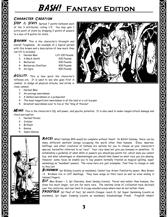### Character Creation

STEP 1: STATS- Spread 7 points between each of the 3 attributes, rating 1-5. You may gain 1 extra point of stats by dropping 2 points of powers to a max of 8 points for stats.

BRAWN. This is the character's Strength and overall Toughness. An example of a typical person with this brawn and a description of how much they can lift is included.

- 1- Normal Man Lift 100 Pounds
- 2- A Black Smith 200 Pounds
- 3- Barbarian 300 Pounds
- 4- Barbarian Chieftain 400 Pounds
- 5- An Ogre 500 Pounds

- AGILITY- This is how quick the character's reflexes are. It is used to see who goes first in combat, to dodge all physical attacks, and strike in close combat.
	- 1- Normal Man
	- 2- An average swordsman
	- 3- A skilled swordsman or a pickpocket
	- 4- The most magnificent swordsman in all the land or a cat-burglar
	- 5- Greatest swordsman ever to live or the "king of thieves".

MIND- This is the character's IQ, will power, and psychic potential. It is also used to make ranged attack damage and check perception.

- 1- Normal Person
- 2- Scholar

<u> SRAMAN SRAMAN SRAMAN SRAMAN SRAMAN SRAMAN SRAMAN S</u>

- 3- Brilliant
- 4- Genius
- 5- Supra Genius



RACES: What fantasy RPG would be complete without them? In BASH fantasy, there can be many different sentient beings occupying the world other than humans. Elves, dwarves, halflings, and other creatures of fantasy are options for you to choose as your character's species, hereafter referred to as "race". Your race does not give you bonuses or penalties. It establishes a quideline of what skills or powers you should pay points for, which ones you cannot buy, and what advantages or disadvantages you should take based on what race you are playing. However, some races do enable you to buy powers normally treated as magical (gliding, super swimming) as "mundane" powers. The races here are just examples. Feel free to change or add to this list!

BIRDMAN: 1pt Gliding (counts as mundane), Cannot buy Armor Familiarity power, Max Brawn =3. Birdmen live in cliff dwellings. They have wings on their back as well as arms ending in taloned fingers.

 $\bm{\mathit{ELF}}$ : Max Brawn = 3, 1pt Charisma, Keen Senses (vision). Fairer and nobler than humans, the elves live much longer, but are far more rare. The onetime lords of civilization have declined over the centuries, and now tend to occupy wooded areas where men do not bother them.

 $\pmb{FROGFOLK}$ : 1pt fleet of foot, 1pt snatch (tongue: reach 2), 1pt Super Swimming (counts as mundane), 1pt Super Jumping (counts as mundane), Disadvantage: Freak. Frogfolk inhabit